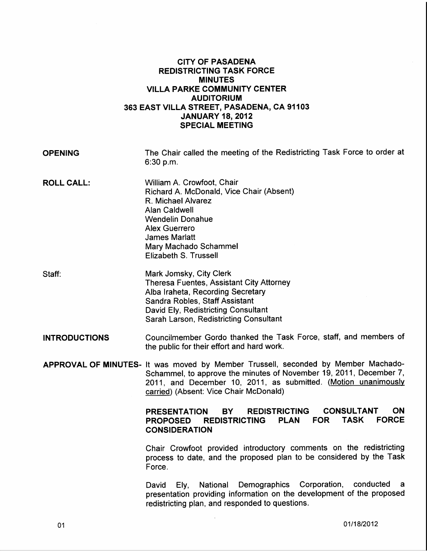## CITY OF PASADENA REDISTRICTING TASK FORCE MINUTES VILLA PARKE COMMUNITY CENTER AUDITORIUM 363 EAST VILLA STREET, PASADENA, CA 91103 JANUARY 18, 2012 SPECIAL MEETING

| <b>OPENING</b>       | The Chair called the meeting of the Redistricting Task Force to order at<br>6:30 p.m.                                                                                                                                                                               |
|----------------------|---------------------------------------------------------------------------------------------------------------------------------------------------------------------------------------------------------------------------------------------------------------------|
| <b>ROLL CALL:</b>    | William A. Crowfoot, Chair<br>Richard A. McDonald, Vice Chair (Absent)<br>R. Michael Alvarez<br><b>Alan Caldwell</b><br><b>Wendelin Donahue</b><br><b>Alex Guerrero</b><br><b>James Marlatt</b><br>Mary Machado Schammel<br>Elizabeth S. Trussell                   |
| Staff:               | Mark Jomsky, City Clerk<br>Theresa Fuentes, Assistant City Attorney<br>Alba Iraheta, Recording Secretary<br>Sandra Robles, Staff Assistant<br>David Ely, Redistricting Consultant<br>Sarah Larson, Redistricting Consultant                                         |
| <b>INTRODUCTIONS</b> | Councilmember Gordo thanked the Task Force, staff, and members of<br>the public for their effort and hard work.                                                                                                                                                     |
|                      | APPROVAL OF MINUTES- It was moved by Member Trussell, seconded by Member Machado-<br>Schammel, to approve the minutes of November 19, 2011, December 7,<br>2011, and December 10, 2011, as submitted. (Motion unanimously<br>carried) (Absent: Vice Chair McDonald) |
|                      | <b>CONSULTANT</b><br>ON.<br><b>REDISTRICTING</b><br>BY.<br><b>PRESENTATION</b><br><b>FORCE</b><br><b>TASK</b><br><b>PLAN</b><br><b>FOR</b><br><b>REDISTRICTING</b><br><b>PROPOSED</b><br><b>CONSIDERATION</b>                                                       |
|                      | Chair Crowfoot provided introductory comments on the redistricting<br>process to date, and the proposed plan to be considered by the Task<br>Force.                                                                                                                 |
|                      | National Demographics Corporation,<br>conducted<br>David<br>Ely,<br>a.<br>presentation providing information on the development of the proposed<br>redistricting plan, and responded to questions.                                                                  |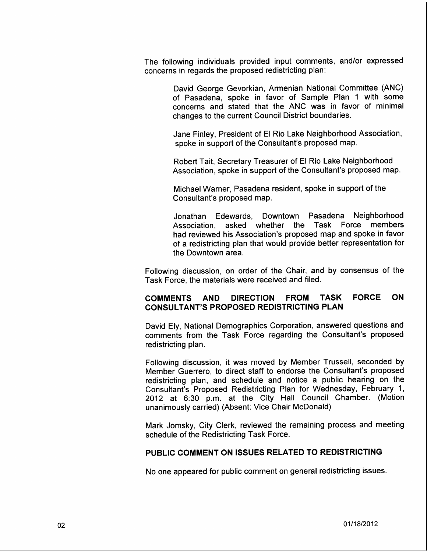The following individuals provided input comments, and/or expressed concerns in regards the proposed redistricting plan:

> David George Gevorkian, Armenian National Committee (ANC) of Pasadena, spoke in favor of Sample Plan 1 with some concerns and stated that the ANC was in favor of minimal changes to the current Council District boundaries.

> Jane Finley, President of El Rio Lake Neighborhood Association, spoke in support of the Consultant's proposed map.

> Robert Tait, Secretary Treasurer of El Rio Lake Neighborhood Association, spoke in support of the Consultant's proposed map.

Michael Warner, Pasadena resident, spoke in support of the Consultant's proposed map.

Jonathan Edewards, Downtown Pasadena Neighborhood Association, asked whether the Task Force members had reviewed his Association's proposed map and spoke in favor of a redistricting plan that would provide better representation for the Downtown area.

Following discussion, on order of the Chair, and by consensus of the Task Force, the materials were received and filed.

## COMMENTS AND DIRECTION FROM TASK FORCE ON CONSULTANT'S PROPOSED REDISTRICTING PLAN

David Ely, National Demographics Corporation, answered questions and comments from the Task Force regarding the Consultant's proposed redistricting plan.

Following discussion, it was moved by Member Trussell, seconded by Member Guerrero, to direct staff to endorse the Consultant's proposed redistricting plan, and schedule and notice a public hearing on the Consultant's Proposed Redistricting Plan for Wednesday, February 1, 2012 at 6:30 p.m. at the City Hall Council Chamber. (Motion unanimously carried) (Absent: Vice Chair McDonald)

Mark Jomsky, City Clerk, reviewed the remaining process and meeting schedule of the Redistricting Task Force.

## PUBLIC COMMENT ON ISSUES RELATED TO REDISTRICTING

No one appeared for public comment on general redistricting issues.